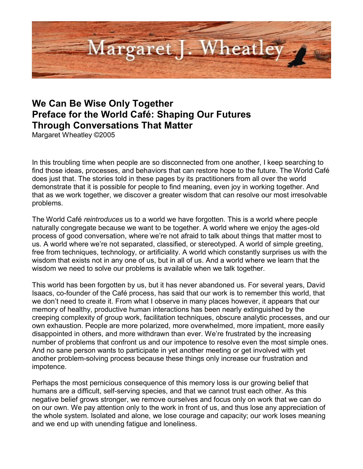

## **We Can Be Wise Only Together Preface for the World Café: Shaping Our Futures Through Conversations That Matter**

Margaret Wheatley ©2005

In this troubling time when people are so disconnected from one another, I keep searching to find those ideas, processes, and behaviors that can restore hope to the future. The World Café does just that. The stories told in these pages by its practitioners from all over the world demonstrate that it is possible for people to find meaning, even joy in working together. And that as we work together, we discover a greater wisdom that can resolve our most irresolvable problems.

The World Café *reintroduces* us to a world we have forgotten. This is a world where people naturally congregate because we want to be together. A world where we enjoy the ages-old process of good conversation, where we're not afraid to talk about things that matter most to us. A world where we're not separated, classified, or stereotyped. A world of simple greeting, free from techniques, technology, or artificiality. A world which constantly surprises us with the wisdom that exists not in any one of us, but in all of us. And a world where we learn that the wisdom we need to solve our problems is available when we talk together.

This world has been forgotten by us, but it has never abandoned us. For several years, David Isaacs, co-founder of the Café process, has said that our work is to remember this world, that we don't need to create it. From what I observe in many places however, it appears that our memory of healthy, productive human interactions has been nearly extinguished by the creeping complexity of group work, facilitation techniques, obscure analytic processes, and our own exhaustion. People are more polarized, more overwhelmed, more impatient, more easily disappointed in others, and more withdrawn than ever. We're frustrated by the increasing number of problems that confront us and our impotence to resolve even the most simple ones. And no sane person wants to participate in yet another meeting or get involved with yet another problem-solving process because these things only increase our frustration and impotence.

Perhaps the most pernicious consequence of this memory loss is our growing belief that humans are a difficult, self-serving species, and that we cannot trust each other. As this negative belief grows stronger, we remove ourselves and focus only on work that we can do on our own. We pay attention only to the work in front of us, and thus lose any appreciation of the whole system. Isolated and alone, we lose courage and capacity; our work loses meaning and we end up with unending fatigue and loneliness.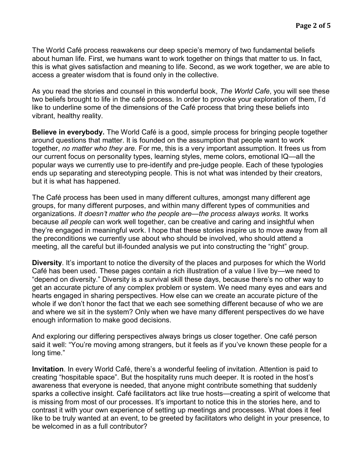The World Café process reawakens our deep specie's memory of two fundamental beliefs about human life. First, we humans want to work together on things that matter to us. In fact, this is what gives satisfaction and meaning to life. Second, as we work together, we are able to access a greater wisdom that is found only in the collective.

As you read the stories and counsel in this wonderful book, *The World Cafe*, you will see these two beliefs brought to life in the café process. In order to provoke your exploration of them, I'd like to underline some of the dimensions of the Café process that bring these beliefs into vibrant, healthy reality.

**Believe in everybody.** The World Café is a good, simple process for bringing people together around questions that matter. It is founded on the assumption that people want to work together, *no matter who they are.* For me, this is a very important assumption. It frees us from our current focus on personality types, learning styles, meme colors, emotional IQ—all the popular ways we currently use to pre-identify and pre-judge people. Each of these typologies ends up separating and stereotyping people. This is not what was intended by their creators, but it is what has happened.

The Café process has been used in many different cultures, amongst many different age groups, for many different purposes, and within many different types of communities and organizations. *It doesn't matter who the people are—the process always works.* It works because *all people* can work well together, can be creative and caring and insightful when they're engaged in meaningful work. I hope that these stories inspire us to move away from all the preconditions we currently use about who should be involved, who should attend a meeting, all the careful but ill-founded analysis we put into constructing the "right" group.

**Diversity**. It's important to notice the diversity of the places and purposes for which the World Café has been used. These pages contain a rich illustration of a value I live by—we need to "depend on diversity." Diversity is a survival skill these days, because there's no other way to get an accurate picture of any complex problem or system. We need many eyes and ears and hearts engaged in sharing perspectives. How else can we create an accurate picture of the whole if we don't honor the fact that we each see something different because of who we are and where we sit in the system? Only when we have many different perspectives do we have enough information to make good decisions.

And exploring our differing perspectives always brings us closer together. One café person said it well: "You're moving among strangers, but it feels as if you've known these people for a long time."

**Invitation**. In every World Café, there's a wonderful feeling of invitation. Attention is paid to creating "hospitable space". But the hospitality runs much deeper. It is rooted in the host's awareness that everyone is needed, that anyone might contribute something that suddenly sparks a collective insight. Café facilitators act like true hosts—creating a spirit of welcome that is missing from most of our processes. It's important to notice this in the stories here, and to contrast it with your own experience of setting up meetings and processes. What does it feel like to be truly wanted at an event, to be greeted by facilitators who delight in your presence, to be welcomed in as a full contributor?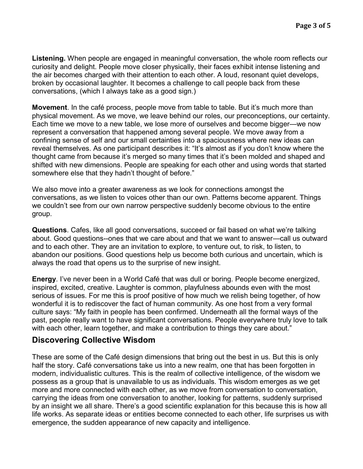**Listening.** When people are engaged in meaningful conversation, the whole room reflects our curiosity and delight. People move closer physically, their faces exhibit intense listening and the air becomes charged with their attention to each other. A loud, resonant quiet develops, broken by occasional laughter. It becomes a challenge to call people back from these conversations, (which I always take as a good sign.)

**Movement**. In the café process, people move from table to table. But it's much more than physical movement. As we move, we leave behind our roles, our preconceptions, our certainty. Each time we move to a new table, we lose more of ourselves and become bigger—we now represent a conversation that happened among several people. We move away from a confining sense of self and our small certainties into a spaciousness where new ideas can reveal themselves. As one participant describes it: "It's almost as if you don't know where the thought came from because it's merged so many times that it's been molded and shaped and shifted with new dimensions. People are speaking for each other and using words that started somewhere else that they hadn't thought of before."

We also move into a greater awareness as we look for connections amongst the conversations, as we listen to voices other than our own. Patterns become apparent. Things we couldn't see from our own narrow perspective suddenly become obvious to the entire group.

**Questions**. Cafes, like all good conversations, succeed or fail based on what we're talking about. Good questions--ones that we care about and that we want to answer—call us outward and to each other. They are an invitation to explore, to venture out, to risk, to listen, to abandon our positions. Good questions help us become both curious and uncertain, which is always the road that opens us to the surprise of new insight.

**Energy**. I've never been in a World Café that was dull or boring. People become energized, inspired, excited, creative. Laughter is common, playfulness abounds even with the most serious of issues. For me this is proof positive of how much we relish being together, of how wonderful it is to rediscover the fact of human community. As one host from a very formal culture says: "My faith in people has been confirmed. Underneath all the formal ways of the past, people really want to have significant conversations. People everywhere truly love to talk with each other, learn together, and make a contribution to things they care about."

## **Discovering Collective Wisdom**

These are some of the Café design dimensions that bring out the best in us. But this is only half the story. Café conversations take us into a new realm, one that has been forgotten in modern, individualistic cultures. This is the realm of collective intelligence, of the wisdom we possess as a group that is unavailable to us as individuals. This wisdom emerges as we get more and more connected with each other, as we move from conversation to conversation, carrying the ideas from one conversation to another, looking for patterns, suddenly surprised by an insight we all share. There's a good scientific explanation for this because this is how all life works. As separate ideas or entities become connected to each other, life surprises us with emergence, the sudden appearance of new capacity and intelligence.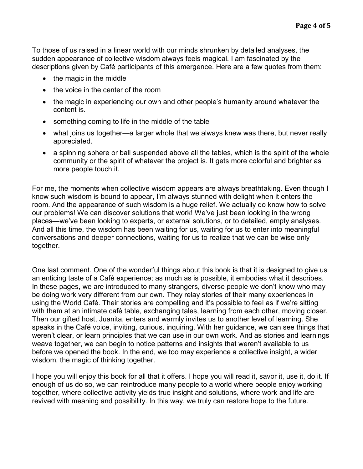To those of us raised in a linear world with our minds shrunken by detailed analyses, the sudden appearance of collective wisdom always feels magical. I am fascinated by the descriptions given by Café participants of this emergence. Here are a few quotes from them:

- the magic in the middle
- the voice in the center of the room
- the magic in experiencing our own and other people's humanity around whatever the content is.
- something coming to life in the middle of the table
- what joins us together—a larger whole that we always knew was there, but never really appreciated.
- a spinning sphere or ball suspended above all the tables, which is the spirit of the whole community or the spirit of whatever the project is. It gets more colorful and brighter as more people touch it.

For me, the moments when collective wisdom appears are always breathtaking. Even though I know such wisdom is bound to appear, I'm always stunned with delight when it enters the room. And the appearance of such wisdom is a huge relief. We actually do know how to solve our problems! We can discover solutions that work! We've just been looking in the wrong places—we've been looking to experts, or external solutions, or to detailed, empty analyses. And all this time, the wisdom has been waiting for us, waiting for us to enter into meaningful conversations and deeper connections, waiting for us to realize that we can be wise only together.

One last comment. One of the wonderful things about this book is that it is designed to give us an enticing taste of a Café experience; as much as is possible, it embodies what it describes. In these pages, we are introduced to many strangers, diverse people we don't know who may be doing work very different from our own. They relay stories of their many experiences in using the World Café. Their stories are compelling and it's possible to feel as if we're sitting with them at an intimate café table, exchanging tales, learning from each other, moving closer. Then our gifted host, Juanita, enters and warmly invites us to another level of learning. She speaks in the Café voice, inviting, curious, inquiring. With her guidance, we can see things that weren't clear, or learn principles that we can use in our own work. And as stories and learnings weave together, we can begin to notice patterns and insights that weren't available to us before we opened the book. In the end, we too may experience a collective insight, a wider wisdom, the magic of thinking together.

I hope you will enjoy this book for all that it offers. I hope you will read it, savor it, use it, do it. If enough of us do so, we can reintroduce many people to a world where people enjoy working together, where collective activity yields true insight and solutions, where work and life are revived with meaning and possibility. In this way, we truly can restore hope to the future.